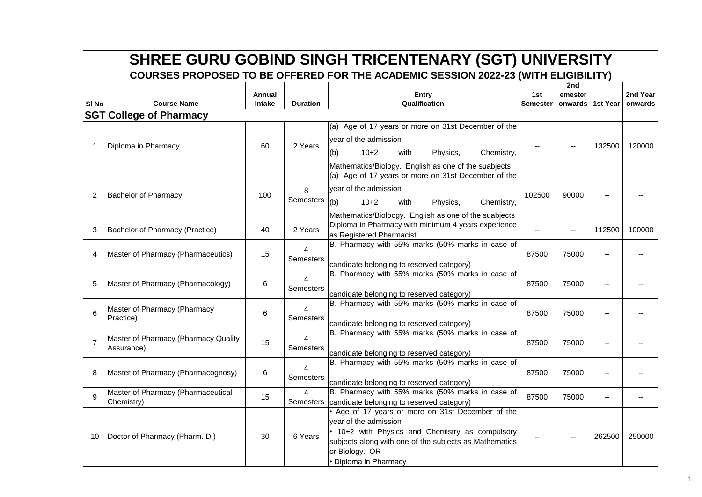|                  | <b>SHREE GURU GOBIND SINGH TRICENTENARY (SGT) UNIVERSITY</b> |                  |                             |                                                                                                                                                                                                                                    |                          |                |                  |                     |  |  |  |
|------------------|--------------------------------------------------------------|------------------|-----------------------------|------------------------------------------------------------------------------------------------------------------------------------------------------------------------------------------------------------------------------------|--------------------------|----------------|------------------|---------------------|--|--|--|
|                  |                                                              |                  |                             | <b>COURSES PROPOSED TO BE OFFERED FOR THE ACADEMIC SESSION 2022-23 (WITH ELIGIBILITY)</b>                                                                                                                                          |                          |                |                  |                     |  |  |  |
| SI <sub>No</sub> | <b>Course Name</b>                                           | Annual<br>Intake | <b>Duration</b>             | <b>Entry</b><br>Qualification                                                                                                                                                                                                      | 1st<br><b>Semester</b>   | 2nd<br>emester | onwards 1st Year | 2nd Year<br>onwards |  |  |  |
|                  | <b>SGT College of Pharmacy</b>                               |                  |                             |                                                                                                                                                                                                                                    |                          |                |                  |                     |  |  |  |
| -1               | Diploma in Pharmacy                                          | 60               | 2 Years                     | (a) Age of 17 years or more on 31st December of the<br>year of the admission<br>$10+2$<br>with<br>Physics,<br>Chemistry,<br>(b)<br>Mathematics/Biology. English as one of the suabjects                                            |                          |                | 132500           | 120000              |  |  |  |
| 2                | <b>Bachelor of Pharmacy</b>                                  | 100              | 8<br><b>Semesters</b>       | (a) Age of 17 years or more on 31st December of the<br>year of the admission<br>(b)<br>$10+2$<br>with<br>Physics,<br>Chemistry,<br>Mathematics/Bioloogy. English as one of the suabjects                                           | 102500                   | 90000          |                  |                     |  |  |  |
| 3                | Bachelor of Pharmacy (Practice)                              | 40               | 2 Years                     | Diploma in Pharmacy with minimum 4 years experience<br>as Registered Pharmacist                                                                                                                                                    | $\overline{\phantom{a}}$ | $\overline{a}$ | 112500           | 100000              |  |  |  |
| 4                | Master of Pharmacy (Pharmaceutics)                           | 15               | Semesters                   | B. Pharmacy with 55% marks (50% marks in case of<br>candidate belonging to reserved category)                                                                                                                                      | 87500                    | 75000          |                  |                     |  |  |  |
| 5                | Master of Pharmacy (Pharmacology)                            | 6                | 4<br><b>Semesters</b>       | B. Pharmacy with 55% marks (50% marks in case of<br>candidate belonging to reserved category)                                                                                                                                      | 87500                    | 75000          |                  |                     |  |  |  |
| 6                | Master of Pharmacy (Pharmacy<br>Practice)                    | 6                | 4<br><b>Semesters</b>       | B. Pharmacy with 55% marks (50% marks in case of<br>candidate belonging to reserved category)                                                                                                                                      | 87500                    | 75000          |                  |                     |  |  |  |
| $\overline{7}$   | Master of Pharmacy (Pharmacy Quality<br>Assurance)           | 15               | $\overline{4}$<br>Semesters | B. Pharmacy with 55% marks (50% marks in case of<br>candidate belonging to reserved category)                                                                                                                                      | 87500                    | 75000          |                  |                     |  |  |  |
| 8                | Master of Pharmacy (Pharmacognosy)                           | 6                | 4<br><b>Semesters</b>       | B. Pharmacy with 55% marks (50% marks in case of<br>candidate belonging to reserved category)                                                                                                                                      | 87500                    | 75000          |                  |                     |  |  |  |
| 9                | Master of Pharmacy (Pharmaceutical<br>Chemistry)             | 15               | $\overline{4}$              | B. Pharmacy with 55% marks (50% marks in case of<br>Semesters candidate belonging to reserved category)                                                                                                                            | 87500                    | 75000          | $\overline{a}$   | $-$                 |  |  |  |
| 10               | Doctor of Pharmacy (Pharm. D.)                               | 30               | 6 Years                     | . Age of 17 years or more on 31st December of the<br>year of the admission<br>. 10+2 with Physics and Chemistry as compulsory<br>subjects along with one of the subjects as Mathematics<br>or Biology. OR<br>• Diploma in Pharmacy |                          |                | 262500           | 250000              |  |  |  |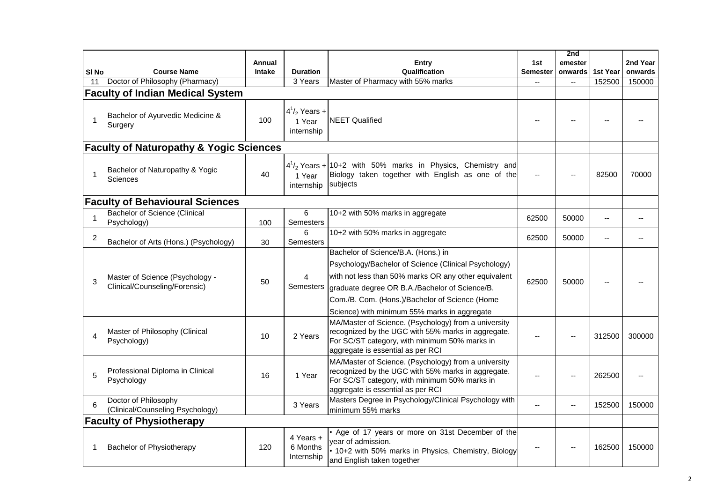|                  |                                                                  |               |                                           |                                                                                                                                                                                                                                                                  |                 | 2nd            |          |          |
|------------------|------------------------------------------------------------------|---------------|-------------------------------------------|------------------------------------------------------------------------------------------------------------------------------------------------------------------------------------------------------------------------------------------------------------------|-----------------|----------------|----------|----------|
|                  |                                                                  | Annual        |                                           | Entry                                                                                                                                                                                                                                                            | 1st             | emester        |          | 2nd Year |
| SI <sub>No</sub> | <b>Course Name</b><br>Doctor of Philosophy (Pharmacy)            | <b>Intake</b> | <b>Duration</b><br>3 Years                | Qualification<br>Master of Pharmacy with 55% marks                                                                                                                                                                                                               | <b>Semester</b> | onwards        | 1st Year | onwards  |
| 11               |                                                                  |               |                                           |                                                                                                                                                                                                                                                                  |                 | $\sim$         | 152500   | 150000   |
|                  | <b>Faculty of Indian Medical System</b>                          |               |                                           |                                                                                                                                                                                                                                                                  |                 |                |          |          |
| $\mathbf{1}$     | Bachelor of Ayurvedic Medicine &<br>Surgery                      | 100           | $4^{1/2}$ Years +<br>1 Year<br>internship | <b>NEET Qualified</b>                                                                                                                                                                                                                                            |                 |                |          |          |
|                  | <b>Faculty of Naturopathy &amp; Yogic Sciences</b>               |               |                                           |                                                                                                                                                                                                                                                                  |                 |                |          |          |
| $\mathbf{1}$     | Bachelor of Naturopathy & Yogic<br>Sciences                      | 40            | 1 Year<br>internship                      | $4\frac{1}{2}$ Years + 10+2 with 50% marks in Physics, Chemistry and<br>Biology taken together with English as one of the<br>subjects                                                                                                                            |                 |                | 82500    | 70000    |
|                  | <b>Faculty of Behavioural Sciences</b>                           |               |                                           |                                                                                                                                                                                                                                                                  |                 |                |          |          |
| $\mathbf 1$      | <b>Bachelor of Science (Clinical</b><br>Psychology)              | 100           | 6<br>Semesters                            | 10+2 with 50% marks in aggregate                                                                                                                                                                                                                                 | 62500           | 50000          |          |          |
| 2                | Bachelor of Arts (Hons.) (Psychology)                            | 30            | 6<br>Semesters                            | 10+2 with 50% marks in aggregate                                                                                                                                                                                                                                 | 62500           | 50000          |          |          |
|                  |                                                                  |               |                                           | Bachelor of Science/B.A. (Hons.) in                                                                                                                                                                                                                              |                 |                |          |          |
| 3                | Master of Science (Psychology -<br>Clinical/Counseling/Forensic) | 50            | 4<br>Semesters                            | Psychology/Bachelor of Science (Clinical Psychology)<br>with not less than 50% marks OR any other equivalent<br>graduate degree OR B.A./Bachelor of Science/B.<br>Com./B. Com. (Hons.)/Bachelor of Science (Home<br>Science) with minimum 55% marks in aggregate | 62500           | 50000          |          |          |
| $\overline{4}$   | Master of Philosophy (Clinical<br>Psychology)                    | 10            | 2 Years                                   | MA/Master of Science. (Psychology) from a university<br>recognized by the UGC with 55% marks in aggregate.<br>For SC/ST category, with minimum 50% marks in<br>aggregate is essential as per RCI                                                                 |                 |                | 312500   | 300000   |
| 5                | Professional Diploma in Clinical<br>Psychology                   | 16            | 1 Year                                    | MA/Master of Science. (Psychology) from a university<br>recognized by the UGC with 55% marks in aggregate.<br>For SC/ST category, with minimum 50% marks in<br>aggregate is essential as per RCI                                                                 |                 |                | 262500   |          |
| 6                | Doctor of Philosophy<br>(Clinical/Counseling Psychology)         |               | 3 Years                                   | Masters Degree in Psychology/Clinical Psychology with<br>minimum 55% marks                                                                                                                                                                                       |                 | $\overline{a}$ | 152500   | 150000   |
|                  | <b>Faculty of Physiotherapy</b>                                  |               |                                           |                                                                                                                                                                                                                                                                  |                 |                |          |          |
| -1               | Bachelor of Physiotherapy                                        | 120           | 4 Years +<br>6 Months<br>Internship       | Age of 17 years or more on 31st December of the<br>year of admission.<br>• 10+2 with 50% marks in Physics, Chemistry, Biology<br>and English taken together                                                                                                      |                 |                | 162500   | 150000   |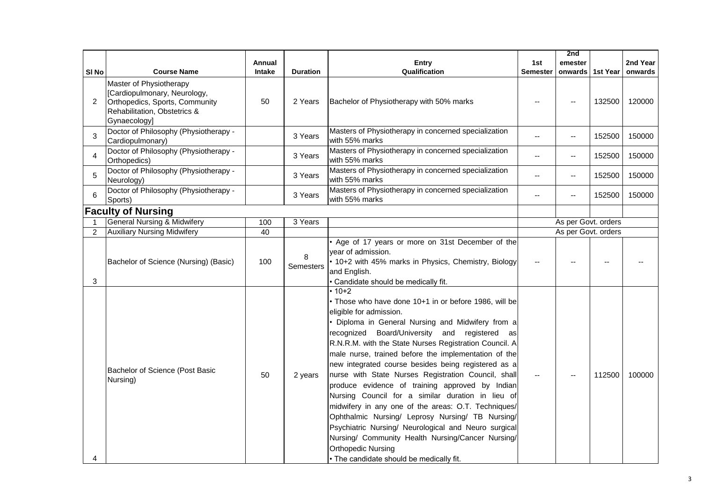|                  |                                                                                                                                                 |        |                 |                                                                                                                                                                                                                                                                                                                                                                                                                                                                                                                                                                                                                                                                                                                                                                                                                                                 |                 | 2nd                 |          |          |
|------------------|-------------------------------------------------------------------------------------------------------------------------------------------------|--------|-----------------|-------------------------------------------------------------------------------------------------------------------------------------------------------------------------------------------------------------------------------------------------------------------------------------------------------------------------------------------------------------------------------------------------------------------------------------------------------------------------------------------------------------------------------------------------------------------------------------------------------------------------------------------------------------------------------------------------------------------------------------------------------------------------------------------------------------------------------------------------|-----------------|---------------------|----------|----------|
|                  |                                                                                                                                                 | Annual |                 | <b>Entry</b>                                                                                                                                                                                                                                                                                                                                                                                                                                                                                                                                                                                                                                                                                                                                                                                                                                    | 1st             | emester             |          | 2nd Year |
| SI <sub>No</sub> | <b>Course Name</b>                                                                                                                              | Intake | <b>Duration</b> | Qualification                                                                                                                                                                                                                                                                                                                                                                                                                                                                                                                                                                                                                                                                                                                                                                                                                                   | <b>Semester</b> | onwards             | 1st Year | onwards  |
| $\overline{2}$   | Master of Physiotherapy<br>[Cardiopulmonary, Neurology,<br>Orthopedics, Sports, Community<br>Rehabilitation, Obstetrics &<br><b>Gynaecology</b> | 50     | 2 Years         | Bachelor of Physiotherapy with 50% marks                                                                                                                                                                                                                                                                                                                                                                                                                                                                                                                                                                                                                                                                                                                                                                                                        |                 |                     | 132500   | 120000   |
| 3                | Doctor of Philosophy (Physiotherapy -<br>Cardiopulmonary)                                                                                       |        | 3 Years         | Masters of Physiotherapy in concerned specialization<br>with 55% marks                                                                                                                                                                                                                                                                                                                                                                                                                                                                                                                                                                                                                                                                                                                                                                          | $\overline{a}$  | --                  | 152500   | 150000   |
| 4                | Doctor of Philosophy (Physiotherapy -<br>Orthopedics)                                                                                           |        | 3 Years         | Masters of Physiotherapy in concerned specialization<br>with 55% marks                                                                                                                                                                                                                                                                                                                                                                                                                                                                                                                                                                                                                                                                                                                                                                          | $-1$            | $-$                 | 152500   | 150000   |
| 5                | Doctor of Philosophy (Physiotherapy -<br>Neurology)                                                                                             |        | 3 Years         | Masters of Physiotherapy in concerned specialization<br>with 55% marks                                                                                                                                                                                                                                                                                                                                                                                                                                                                                                                                                                                                                                                                                                                                                                          | $-$             | --                  | 152500   | 150000   |
| 6                | Doctor of Philosophy (Physiotherapy -<br>Sports)                                                                                                |        | 3 Years         | Masters of Physiotherapy in concerned specialization<br>with 55% marks                                                                                                                                                                                                                                                                                                                                                                                                                                                                                                                                                                                                                                                                                                                                                                          | $- -$           | -−                  | 152500   | 150000   |
|                  | <b>Faculty of Nursing</b>                                                                                                                       |        |                 |                                                                                                                                                                                                                                                                                                                                                                                                                                                                                                                                                                                                                                                                                                                                                                                                                                                 |                 |                     |          |          |
|                  | <b>General Nursing &amp; Midwifery</b>                                                                                                          | 100    | 3 Years         |                                                                                                                                                                                                                                                                                                                                                                                                                                                                                                                                                                                                                                                                                                                                                                                                                                                 |                 | As per Govt. orders |          |          |
| $\overline{2}$   | <b>Auxiliary Nursing Midwifery</b>                                                                                                              | 40     |                 |                                                                                                                                                                                                                                                                                                                                                                                                                                                                                                                                                                                                                                                                                                                                                                                                                                                 |                 | As per Govt. orders |          |          |
| 3                | Bachelor of Science (Nursing) (Basic)                                                                                                           | 100    | 8<br>Semesters  | . Age of 17 years or more on 31st December of the<br>year of admission.<br>• 10+2 with 45% marks in Physics, Chemistry, Biology<br>and English.<br>• Candidate should be medically fit.                                                                                                                                                                                                                                                                                                                                                                                                                                                                                                                                                                                                                                                         |                 |                     |          |          |
| 4                | Bachelor of Science (Post Basic<br>Nursing)                                                                                                     | 50     | 2 years         | $\cdot$ 10+2<br>. Those who have done 10+1 in or before 1986, will be<br>eligible for admission.<br>· Diploma in General Nursing and Midwifery from a<br>recognized Board/University and registered as<br>R.N.R.M. with the State Nurses Registration Council. A<br>male nurse, trained before the implementation of the<br>new integrated course besides being registered as a<br>nurse with State Nurses Registration Council, shall<br>produce evidence of training approved by Indian<br>Nursing Council for a similar duration in lieu of<br>midwifery in any one of the areas: O.T. Techniques/<br>Ophthalmic Nursing/ Leprosy Nursing/ TB Nursing/<br>Psychiatric Nursing/ Neurological and Neuro surgical<br>Nursing/ Community Health Nursing/Cancer Nursing/<br><b>Orthopedic Nursing</b><br>• The candidate should be medically fit. |                 |                     | 112500   | 100000   |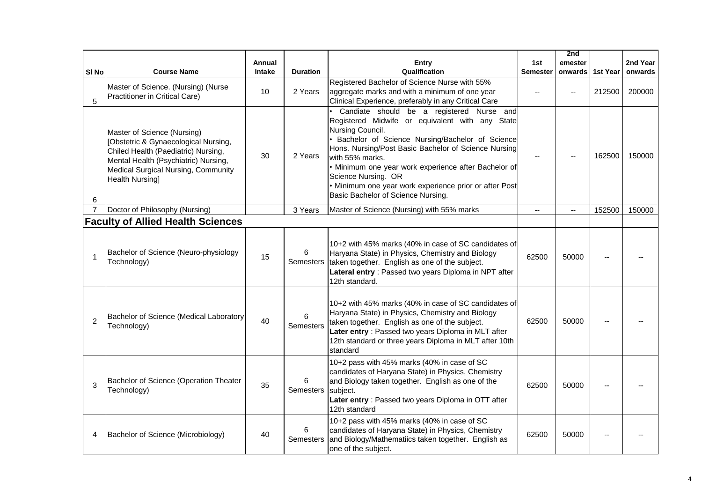|                |                                                                                                                                                                                                                     |        |                 |                                                                                                                                                                                                                                                                                                                                                                                                                               |                 | 2nd                                           |          |          |
|----------------|---------------------------------------------------------------------------------------------------------------------------------------------------------------------------------------------------------------------|--------|-----------------|-------------------------------------------------------------------------------------------------------------------------------------------------------------------------------------------------------------------------------------------------------------------------------------------------------------------------------------------------------------------------------------------------------------------------------|-----------------|-----------------------------------------------|----------|----------|
|                |                                                                                                                                                                                                                     | Annual |                 | Entry                                                                                                                                                                                                                                                                                                                                                                                                                         | 1st             | emester                                       |          | 2nd Year |
| SI No          | <b>Course Name</b>                                                                                                                                                                                                  | Intake | <b>Duration</b> | Qualification                                                                                                                                                                                                                                                                                                                                                                                                                 | <b>Semester</b> | onwards                                       | 1st Year | onwards  |
| 5              | Master of Science. (Nursing) (Nurse<br>Practitioner in Critical Care)                                                                                                                                               | 10     | 2 Years         | Registered Bachelor of Science Nurse with 55%<br>aggregate marks and with a minimum of one year<br>Clinical Experience, preferably in any Critical Care                                                                                                                                                                                                                                                                       |                 |                                               | 212500   | 200000   |
| 6              | Master of Science (Nursing)<br>[Obstetric & Gynaecological Nursing,<br>Chiled Health (Paediatric) Nursing,<br>Mental Health (Psychiatric) Nursing,<br>Medical Surgical Nursing, Community<br><b>Health Nursing]</b> | 30     | 2 Years         | Candiate should be a registered Nurse and<br>Registered Midwife or equivalent with any State<br>Nursing Council.<br>Bachelor of Science Nursing/Bachelor of Science<br>Hons. Nursing/Post Basic Bachelor of Science Nursing<br>with 55% marks.<br>· Minimum one year work experience after Bachelor of<br>Science Nursing. OR<br>· Minimum one year work experience prior or after Post<br>Basic Bachelor of Science Nursing. |                 |                                               | 162500   | 150000   |
| $\overline{7}$ | Doctor of Philosophy (Nursing)                                                                                                                                                                                      |        | 3 Years         | Master of Science (Nursing) with 55% marks                                                                                                                                                                                                                                                                                                                                                                                    |                 | $\mathord{\hspace{1pt}\text{--}\hspace{1pt}}$ | 152500   | 150000   |
|                | <b>Faculty of Allied Health Sciences</b>                                                                                                                                                                            |        |                 |                                                                                                                                                                                                                                                                                                                                                                                                                               |                 |                                               |          |          |
| 1              | Bachelor of Science (Neuro-physiology<br>Technology)                                                                                                                                                                | 15     | 6<br>Semesters  | 10+2 with 45% marks (40% in case of SC candidates of<br>Haryana State) in Physics, Chemistry and Biology<br>taken together. English as one of the subject.<br>Lateral entry : Passed two years Diploma in NPT after<br>12th standard.                                                                                                                                                                                         | 62500           | 50000                                         |          |          |
| $\overline{2}$ | Bachelor of Science (Medical Laboratory<br>Technology)                                                                                                                                                              | 40     | 6<br>Semesters  | 10+2 with 45% marks (40% in case of SC candidates of<br>Haryana State) in Physics, Chemistry and Biology<br>taken together. English as one of the subject.<br>Later entry : Passed two years Diploma in MLT after<br>12th standard or three years Diploma in MLT after 10th<br>standard                                                                                                                                       | 62500           | 50000                                         |          |          |
| 3              | Bachelor of Science (Operation Theater<br>Technology)                                                                                                                                                               | 35     | 6<br>Semesters  | 10+2 pass with 45% marks (40% in case of SC<br>candidates of Haryana State) in Physics, Chemistry<br>and Biology taken together. English as one of the<br>subject.<br>Later entry : Passed two years Diploma in OTT after<br>12th standard                                                                                                                                                                                    | 62500           | 50000                                         |          |          |
| 4              | Bachelor of Science (Microbiology)                                                                                                                                                                                  | 40     | 6<br>Semesters  | 10+2 pass with 45% marks (40% in case of SC<br>candidates of Haryana State) in Physics, Chemistry<br>and Biology/Mathematiics taken together. English as<br>one of the subject.                                                                                                                                                                                                                                               | 62500           | 50000                                         |          |          |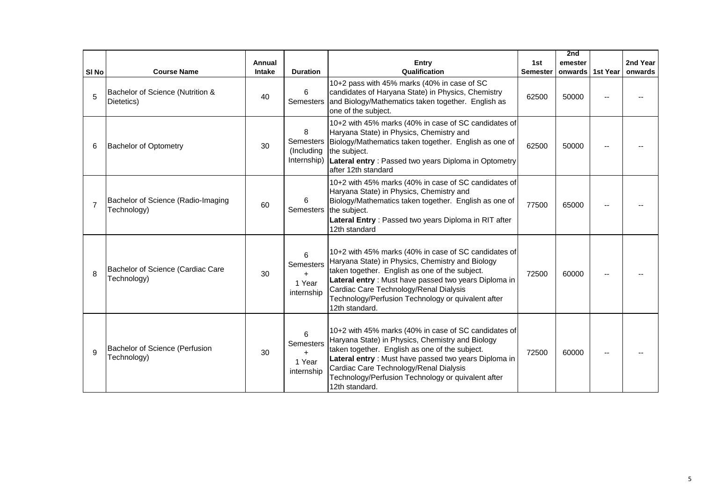|                  |                                                   |        |                                                    |                                                                                                                                                                                                                                                                                                                                       |                 | 2nd              |          |
|------------------|---------------------------------------------------|--------|----------------------------------------------------|---------------------------------------------------------------------------------------------------------------------------------------------------------------------------------------------------------------------------------------------------------------------------------------------------------------------------------------|-----------------|------------------|----------|
|                  |                                                   | Annual |                                                    | Entry                                                                                                                                                                                                                                                                                                                                 | 1st             | emester          | 2nd Year |
| SI <sub>No</sub> | <b>Course Name</b>                                | Intake | <b>Duration</b>                                    | Qualification                                                                                                                                                                                                                                                                                                                         | <b>Semester</b> | onwards 1st Year | onwards  |
| 5                | Bachelor of Science (Nutrition &<br>Dietetics)    | 40     | 6<br><b>Semesters</b>                              | 10+2 pass with 45% marks (40% in case of SC<br>candidates of Haryana State) in Physics, Chemistry<br>and Biology/Mathematics taken together. English as<br>one of the subject.                                                                                                                                                        | 62500           | 50000            |          |
| 6                | <b>Bachelor of Optometry</b>                      | 30     | 8<br><b>Semesters</b><br>(Including<br>Internship) | 10+2 with 45% marks (40% in case of SC candidates of<br>Haryana State) in Physics, Chemistry and<br>Biology/Mathematics taken together. English as one of<br>the subject.<br>Lateral entry: Passed two years Diploma in Optometry<br>after 12th standard                                                                              | 62500           | 50000            |          |
| $\overline{7}$   | Bachelor of Science (Radio-Imaging<br>Technology) | 60     | 6<br><b>Semesters</b>                              | 10+2 with 45% marks (40% in case of SC candidates of<br>Haryana State) in Physics, Chemistry and<br>Biology/Mathematics taken together. English as one of<br>the subject.<br>Lateral Entry: Passed two years Diploma in RIT after<br>12th standard                                                                                    | 77500           | 65000            |          |
| 8                | Bachelor of Science (Cardiac Care<br>Technology)  | 30     | 6<br>Semesters<br>$+$<br>1 Year<br>internship      | 10+2 with 45% marks (40% in case of SC candidates of<br>Haryana State) in Physics, Chemistry and Biology<br>taken together. English as one of the subject.<br>Lateral entry : Must have passed two years Diploma in<br>Cardiac Care Technology/Renal Dialysis<br>Technology/Perfusion Technology or quivalent after<br>12th standard. | 72500           | 60000            |          |
| 9                | Bachelor of Science (Perfusion<br>Technology)     | 30     | 6<br>Semesters<br>$+$<br>1 Year<br>internship      | 10+2 with 45% marks (40% in case of SC candidates of<br>Haryana State) in Physics, Chemistry and Biology<br>taken together. English as one of the subject.<br>Lateral entry : Must have passed two years Diploma in<br>Cardiac Care Technology/Renal Dialysis<br>Technology/Perfusion Technology or quivalent after<br>12th standard. | 72500           | 60000            |          |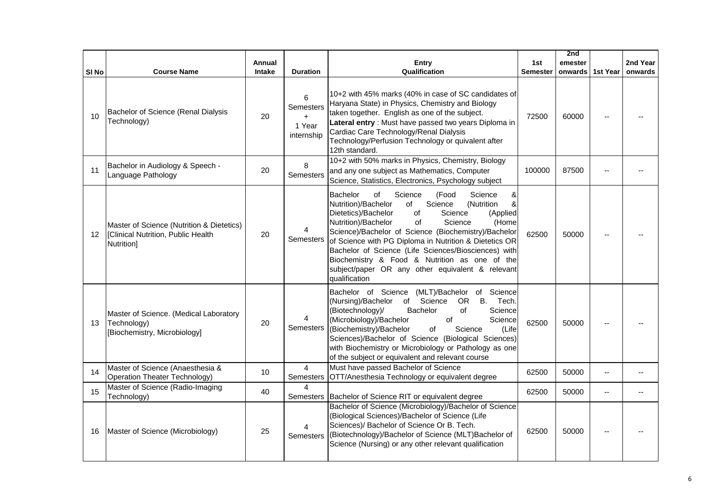|       |                                                                                               |               |                                               |                                                                                                                                                                                                                                                                                                                                                                                                                                                                                                                    |                 | 2nd     |                          |          |
|-------|-----------------------------------------------------------------------------------------------|---------------|-----------------------------------------------|--------------------------------------------------------------------------------------------------------------------------------------------------------------------------------------------------------------------------------------------------------------------------------------------------------------------------------------------------------------------------------------------------------------------------------------------------------------------------------------------------------------------|-----------------|---------|--------------------------|----------|
|       |                                                                                               | Annual        |                                               | Entry                                                                                                                                                                                                                                                                                                                                                                                                                                                                                                              | 1st             | emester |                          | 2nd Year |
| SI No | <b>Course Name</b>                                                                            | <b>Intake</b> | <b>Duration</b>                               | Qualification                                                                                                                                                                                                                                                                                                                                                                                                                                                                                                      | <b>Semester</b> | onwards | 1st Year                 | onwards  |
| 10    | Bachelor of Science (Renal Dialysis<br>Technology)                                            | 20            | 6<br>Semesters<br>$+$<br>1 Year<br>internship | 10+2 with 45% marks (40% in case of SC candidates of<br>Haryana State) in Physics, Chemistry and Biology<br>taken together. English as one of the subject.<br>Lateral entry : Must have passed two years Diploma in<br>Cardiac Care Technology/Renal Dialysis<br>Technology/Perfusion Technology or quivalent after<br>12th standard.                                                                                                                                                                              | 72500           | 60000   |                          |          |
| 11    | Bachelor in Audiology & Speech -<br>Language Pathology                                        | 20            | 8<br><b>Semesters</b>                         | 10+2 with 50% marks in Physics, Chemistry, Biology<br>and any one subject as Mathematics, Computer<br>Science, Statistics, Electronics, Psychology subject                                                                                                                                                                                                                                                                                                                                                         | 100000          | 87500   |                          |          |
| 12    | Master of Science (Nutrition & Dietetics)<br>[Clinical Nutrition, Public Health<br>Nutrition] | 20            | 4<br>Semesters                                | &<br>Bachelor<br>οf<br>Science<br>(Food<br>Science<br>&<br>Nutrition)/Bachelor<br>Science<br>(Nutrition<br>of<br>Dietetics)/Bachelor<br>Science<br>of<br>(Applied<br>Nutrition)/Bachelor<br>of<br>Science<br>(Home<br>Science)/Bachelor of Science (Biochemistry)/Bachelor<br>of Science with PG Diploma in Nutrition & Dietetics OR<br>Bachelor of Science (Life Sciences/Biosciences) with<br>Biochemistry & Food & Nutrition as one of the<br>subject/paper OR any other equivalent & relevant<br>qualification | 62500           | 50000   |                          |          |
| 13    | Master of Science. (Medical Laboratory<br>Technology)<br>[Biochemistry, Microbiology]         | 20            | 4<br><b>Semesters</b>                         | Bachelor of Science (MLT)/Bachelor of Science<br>(Nursing)/Bachelor<br>B. Tech.<br>of<br>Science<br>OR<br>(Biotechnology)/<br>Bachelor<br>of<br>Science<br>(Microbiology)/Bachelor<br>of<br>Science<br>(Biochemistry)/Bachelor<br>of<br>(Life<br>Science<br>Sciences)/Bachelor of Science (Biological Sciences)<br>with Biochemistry or Microbiology or Pathology as one<br>of the subject or equivalent and relevant course                                                                                       | 62500           | 50000   |                          |          |
| 14    | Master of Science (Anaesthesia &<br>Operation Theater Technology)                             | 10            | $\overline{4}$<br><b>Semesters</b>            | Must have passed Bachelor of Science<br>OTT/Anesthesia Technology or equivalent degree                                                                                                                                                                                                                                                                                                                                                                                                                             | 62500           | 50000   | $\overline{\phantom{a}}$ |          |
| 15    | Master of Science (Radio-Imaging<br>Technology)                                               | 40            | $\overline{4}$<br><b>Semesters</b>            | Bachelor of Science RIT or equivalent degree                                                                                                                                                                                                                                                                                                                                                                                                                                                                       | 62500           | 50000   | $-$                      |          |
| 16    | Master of Science (Microbiology)                                                              | 25            | 4<br><b>Semesters</b>                         | Bachelor of Science (Microbiology)/Bachelor of Science<br>(Biological Sciences)/Bachelor of Science (Life<br>Sciences)/ Bachelor of Science Or B. Tech.<br>(Biotechnology)/Bachelor of Science (MLT)Bachelor of<br>Science (Nursing) or any other relevant qualification                                                                                                                                                                                                                                           | 62500           | 50000   |                          |          |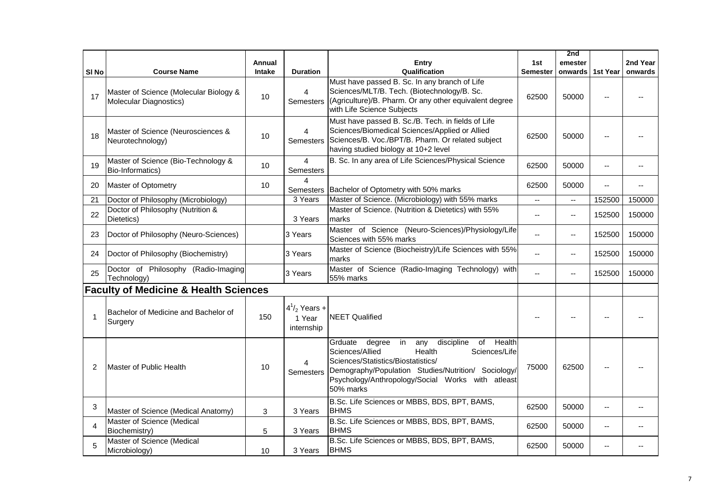|                  |                                                                  |               |                                              |                                                                                                                                                                                                                                                                        |                 | 2nd                      |                |          |
|------------------|------------------------------------------------------------------|---------------|----------------------------------------------|------------------------------------------------------------------------------------------------------------------------------------------------------------------------------------------------------------------------------------------------------------------------|-----------------|--------------------------|----------------|----------|
|                  |                                                                  | <b>Annual</b> |                                              | <b>Entry</b>                                                                                                                                                                                                                                                           | 1st             | emester                  |                | 2nd Year |
| SI <sub>No</sub> | <b>Course Name</b>                                               | Intake        | <b>Duration</b>                              | Qualification                                                                                                                                                                                                                                                          | <b>Semester</b> | onwards                  | 1st Year       | onwards  |
| 17               | Master of Science (Molecular Biology &<br>Molecular Diagnostics) | 10            | $\overline{4}$<br><b>Semesters</b>           | Must have passed B. Sc. In any branch of Life<br>Sciences/MLT/B. Tech. (Biotechnology/B. Sc.<br>(Agriculture)/B. Pharm. Or any other equivalent degree<br>with Life Science Subjects                                                                                   | 62500           | 50000                    |                |          |
| 18               | Master of Science (Neurosciences &<br>Neurotechnology)           | 10            | 4<br><b>Semesters</b>                        | Must have passed B. Sc./B. Tech. in fields of Life<br>Sciences/Biomedical Sciences/Applied or Allied<br>Sciences/B. Voc./BPT/B. Pharm. Or related subject<br>having studied biology at 10+2 level                                                                      | 62500           | 50000                    |                |          |
| 19               | Master of Science (Bio-Technology &<br>Bio-Informatics)          | 10            | $\overline{4}$<br><b>Semesters</b>           | B. Sc. In any area of Life Sciences/Physical Science                                                                                                                                                                                                                   | 62500           | 50000                    | $\overline{a}$ |          |
| 20               | Master of Optometry                                              | 10            | $\overline{4}$                               | Semesters   Bachelor of Optometry with 50% marks                                                                                                                                                                                                                       | 62500           | 50000                    | $-$            | --       |
| 21               | Doctor of Philosophy (Microbiology)                              |               | 3 Years                                      | Master of Science. (Microbiology) with 55% marks                                                                                                                                                                                                                       | ωú,             | $\omega_{\rm m}$         | 152500         | 150000   |
| 22               | Doctor of Philosophy (Nutrition &<br>Dietetics)                  |               | 3 Years                                      | Master of Science. (Nutrition & Dietetics) with 55%<br>marks                                                                                                                                                                                                           | $-$             | $\mathbf{u}$             | 152500         | 150000   |
| 23               | Doctor of Philosophy (Neuro-Sciences)                            |               | 3 Years                                      | Master of Science (Neuro-Sciences)/Physiology/Life<br>Sciences with 55% marks                                                                                                                                                                                          | $\overline{a}$  | $\overline{\phantom{a}}$ | 152500         | 150000   |
| 24               | Doctor of Philosophy (Biochemistry)                              |               | 3 Years                                      | Master of Science (Biocheistry)/Life Sciences with 55%<br>marks                                                                                                                                                                                                        |                 | $\overline{\phantom{a}}$ | 152500         | 150000   |
| 25               | Doctor of Philosophy (Radio-Imaging<br>Technology)               |               | 3 Years                                      | Master of Science (Radio-Imaging Technology) with<br>55% marks                                                                                                                                                                                                         |                 | $\overline{\phantom{a}}$ | 152500         | 150000   |
|                  | <b>Faculty of Medicine &amp; Health Sciences</b>                 |               |                                              |                                                                                                                                                                                                                                                                        |                 |                          |                |          |
| $\mathbf{1}$     | Bachelor of Medicine and Bachelor of<br>Surgery                  | 150           | $4^{1}/_{2}$ Years +<br>1 Year<br>internship | <b>NEET Qualified</b>                                                                                                                                                                                                                                                  |                 | $-$                      |                |          |
| 2                | Master of Public Health                                          | 10            | 4<br><b>Semesters</b>                        | of Health<br>discipline<br>Grduate<br>degree<br>in<br>any<br>Sciences/Life<br>Sciences/Allied<br>Health<br>Sciences/Statistics/Biostatistics/<br>Demography/Population Studies/Nutrition/ Sociology/<br>Psychology/Anthropology/Social Works with atleast<br>50% marks | 75000           | 62500                    |                |          |
| 3                | Master of Science (Medical Anatomy)                              | 3             | 3 Years                                      | B.Sc. Life Sciences or MBBS, BDS, BPT, BAMS,<br><b>BHMS</b>                                                                                                                                                                                                            | 62500           | 50000                    | $\overline{a}$ |          |
| 4                | Master of Science (Medical<br>Biochemistry)                      | 5             | 3 Years                                      | B.Sc. Life Sciences or MBBS, BDS, BPT, BAMS,<br><b>BHMS</b>                                                                                                                                                                                                            | 62500           | 50000                    | --             |          |
| 5                | Master of Science (Medical<br>Microbiology)                      | 10            | 3 Years                                      | B.Sc. Life Sciences or MBBS, BDS, BPT, BAMS,<br><b>BHMS</b>                                                                                                                                                                                                            | 62500           | 50000                    | $-$            |          |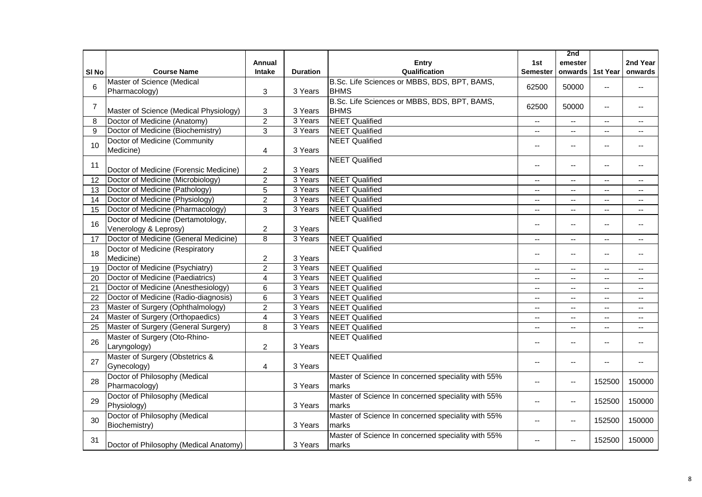|                  |                                        | Annual           |                 | <b>Entry</b>                                       | 1st                      | 2nd<br>emester           |                          | 2nd Year       |
|------------------|----------------------------------------|------------------|-----------------|----------------------------------------------------|--------------------------|--------------------------|--------------------------|----------------|
| SI <sub>No</sub> | <b>Course Name</b>                     | Intake           | <b>Duration</b> | Qualification                                      | <b>Semester</b>          | onwards                  | 1st Year                 | onwards        |
|                  | Master of Science (Medical             |                  |                 | B.Sc. Life Sciences or MBBS, BDS, BPT, BAMS,       |                          |                          |                          |                |
| 6                | Pharmacology)                          | 3                | 3 Years         | <b>BHMS</b>                                        | 62500                    | 50000                    | $\sim$ $\sim$            | $- -$          |
|                  |                                        |                  |                 | B.Sc. Life Sciences or MBBS, BDS, BPT, BAMS,       |                          |                          |                          |                |
| $\overline{7}$   | Master of Science (Medical Physiology) | 3                | 3 Years         | <b>BHMS</b>                                        | 62500                    | 50000                    | $\overline{a}$           | $-$            |
| 8                | Doctor of Medicine (Anatomy)           | $\overline{2}$   | 3 Years         | <b>NEET Qualified</b>                              | $\overline{\phantom{a}}$ | $-$                      | $\mathbf{u}$             | $\sim$         |
| 9                | Doctor of Medicine (Biochemistry)      | 3                | 3 Years         | <b>NEET Qualified</b>                              | $\overline{a}$           | $\overline{\phantom{a}}$ | $\sim$ $\sim$            | $- -$          |
| 10               | Doctor of Medicine (Community          |                  |                 | <b>NEET Qualified</b>                              |                          | $-$                      | $-$                      | $-$            |
|                  | Medicine)                              | 4                | 3 Years         |                                                    |                          |                          |                          |                |
| 11               |                                        |                  |                 | <b>NEET Qualified</b>                              |                          | $- -$                    | $\overline{\phantom{a}}$ | $-$            |
|                  | Doctor of Medicine (Forensic Medicine) | $\overline{c}$   | 3 Years         |                                                    |                          |                          |                          |                |
| 12               | Doctor of Medicine (Microbiology)      | $\overline{2}$   | 3 Years         | <b>NEET Qualified</b>                              | $\sim$ $\sim$            | $- -$                    | $\overline{\phantom{a}}$ | --             |
| 13               | Doctor of Medicine (Pathology)         | 5                | 3 Years         | <b>NEET Qualified</b>                              | $\overline{\phantom{a}}$ | ۰.                       | $\overline{a}$           | --             |
| 14               | Doctor of Medicine (Physiology)        | $\overline{2}$   | 3 Years         | <b>NEET Qualified</b>                              | $\overline{a}$           | $-$                      | $\overline{\phantom{a}}$ | --             |
| 15               | Doctor of Medicine (Pharmacology)      | $\overline{3}$   | 3 Years         | <b>NEET Qualified</b>                              | $\sim$                   | $\sim$                   | $\sim$                   | $\sim$         |
| 16               | Doctor of Medicine (Dertamotology,     |                  |                 | <b>NEET Qualified</b>                              |                          | $-$                      |                          | $-$            |
|                  | Venerology & Leprosy)                  | $\boldsymbol{2}$ | 3 Years         |                                                    |                          |                          |                          |                |
| 17               | Doctor of Medicine (General Medicine)  | $\overline{8}$   | 3 Years         | <b>NEET Qualified</b>                              | $\overline{a}$           | $\overline{a}$           | $\mathbf{u}$             | $\overline{a}$ |
| 18               | Doctor of Medicine (Respiratory        |                  |                 | <b>NEET Qualified</b>                              |                          | $-$                      | $-$                      | $-$            |
|                  | Medicine)                              | $\overline{c}$   | 3 Years         |                                                    |                          |                          |                          |                |
| 19               | Doctor of Medicine (Psychiatry)        | $\overline{2}$   | 3 Years         | <b>NEET Qualified</b>                              | $-$                      | $-$                      | $\sim$                   | $-$            |
| 20               | Doctor of Medicine (Paediatrics)       | 4                | 3 Years         | <b>NEET Qualified</b>                              | $\overline{a}$           | $\overline{\phantom{a}}$ | $-$                      | $- -$          |
| 21               | Doctor of Medicine (Anesthesiology)    | $6\phantom{1}6$  | 3 Years         | <b>NEET Qualified</b>                              | $\overline{a}$           | $\overline{a}$           | $\overline{a}$           | $-$            |
| 22               | Doctor of Medicine (Radio-diagnosis)   | $6\phantom{1}$   | 3 Years         | <b>NEET Qualified</b>                              | $\sim$                   | $\overline{a}$           | $\mathbf{u}$             | ÷÷             |
| 23               | Master of Surgery (Ophthalmology)      | $\overline{2}$   | 3 Years         | <b>NEET Qualified</b>                              | $-$                      | $\overline{\phantom{a}}$ | $\overline{\phantom{a}}$ | $- -$          |
| 24               | Master of Surgery (Orthopaedics)       | $\overline{4}$   | 3 Years         | <b>NEET Qualified</b>                              | $\overline{a}$           | $\overline{a}$           | $\overline{a}$           | $-$            |
| 25               | Master of Surgery (General Surgery)    | 8                | 3 Years         | <b>NEET Qualified</b>                              | $-$                      | $\overline{a}$           | $\sim$                   | $\overline{a}$ |
| 26               | Master of Surgery (Oto-Rhino-          |                  |                 | <b>NEET Qualified</b>                              |                          | $-$                      |                          |                |
|                  | Laryngology)                           | $\overline{c}$   | 3 Years         |                                                    |                          |                          | $-$                      | $-$            |
|                  | Master of Surgery (Obstetrics &        |                  |                 | <b>NEET Qualified</b>                              |                          |                          |                          |                |
| 27               | Gynecology)                            | $\overline{4}$   | 3 Years         |                                                    | $\overline{a}$           | $-$                      | $\overline{\phantom{a}}$ | $-$            |
|                  | Doctor of Philosophy (Medical          |                  |                 | Master of Science In concerned speciality with 55% |                          |                          |                          |                |
| 28               | Pharmacology)                          |                  | 3 Years         | marks                                              | $\sim$                   | $\overline{\phantom{a}}$ | 152500                   | 150000         |
|                  | Doctor of Philosophy (Medical          |                  |                 | Master of Science In concerned speciality with 55% |                          |                          |                          |                |
| 29               | Physiology)                            |                  | 3 Years         | marks                                              |                          | $\overline{\phantom{a}}$ | 152500                   | 150000         |
|                  | Doctor of Philosophy (Medical          |                  |                 | Master of Science In concerned speciality with 55% |                          |                          |                          |                |
| 30               | Biochemistry)                          |                  | 3 Years         | marks                                              |                          | $\overline{\phantom{a}}$ | 152500                   | 150000         |
|                  |                                        |                  |                 | Master of Science In concerned speciality with 55% |                          |                          |                          |                |
| 31               | Doctor of Philosophy (Medical Anatomy) |                  | 3 Years         | marks                                              |                          | --                       | 152500                   | 150000         |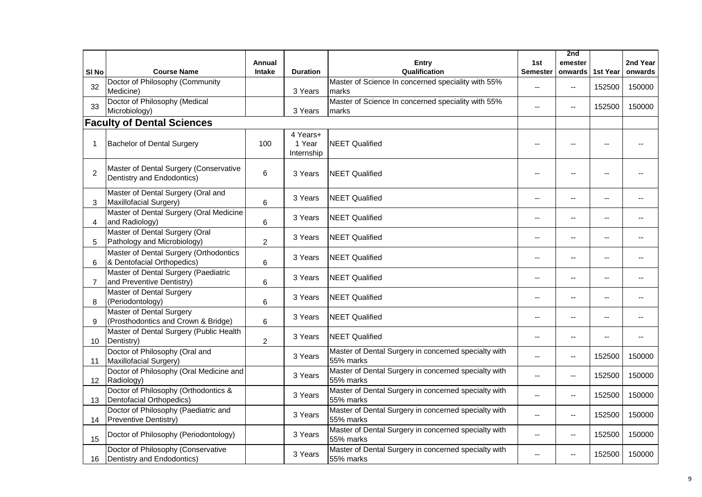|                 |                                                                        | Annual         |                                  |                                                                   | 1st             | 2nd<br>emester           |                | 2nd Year |
|-----------------|------------------------------------------------------------------------|----------------|----------------------------------|-------------------------------------------------------------------|-----------------|--------------------------|----------------|----------|
| SI No           | <b>Course Name</b>                                                     | <b>Intake</b>  | <b>Duration</b>                  | Entry<br>Qualification                                            | <b>Semester</b> | onwards                  | 1st Year       | onwards  |
| 32              | Doctor of Philosophy (Community<br>Medicine)                           |                | 3 Years                          | Master of Science In concerned speciality with 55%<br>marks       | $\sim$          | $\overline{\phantom{a}}$ | 152500         | 150000   |
| 33              | Doctor of Philosophy (Medical<br>Microbiology)                         |                | 3 Years                          | Master of Science In concerned speciality with 55%<br>marks       | $\overline{a}$  | $\overline{a}$           | 152500         | 150000   |
|                 | <b>Faculty of Dental Sciences</b>                                      |                |                                  |                                                                   |                 |                          |                |          |
| -1              | <b>Bachelor of Dental Surgery</b>                                      | 100            | 4 Years+<br>1 Year<br>Internship | <b>NEET Qualified</b>                                             |                 |                          |                |          |
| $\overline{2}$  | Master of Dental Surgery (Conservative<br>Dentistry and Endodontics)   | 6              | 3 Years                          | <b>NEET Qualified</b>                                             |                 |                          |                |          |
| 3               | Master of Dental Surgery (Oral and<br>Maxillofacial Surgery)           | $6\phantom{1}$ | 3 Years                          | <b>NEET Qualified</b>                                             | $-$             | $\overline{a}$           | $-$            |          |
| 4               | Master of Dental Surgery (Oral Medicine<br>and Radiology)              | 6              | 3 Years                          | <b>NEET Qualified</b>                                             | $\sim$          | --                       | $\overline{a}$ | $-$      |
| 5               | Master of Dental Surgery (Oral<br>Pathology and Microbiology)          | $\overline{2}$ | 3 Years                          | <b>NEET Qualified</b>                                             |                 | --                       | --             |          |
| 6               | Master of Dental Surgery (Orthodontics<br>& Dentofacial Orthopedics)   | 6              | 3 Years                          | <b>NEET Qualified</b>                                             |                 | $\overline{a}$           | $-$            |          |
| 7               | Master of Dental Surgery (Paediatric<br>and Preventive Dentistry)      | $6\phantom{1}$ | 3 Years                          | <b>NEET Qualified</b>                                             |                 | $\overline{a}$           | $-$            |          |
| 8               | <b>Master of Dental Surgery</b><br>(Periodontology)                    | 6              | 3 Years                          | <b>NEET Qualified</b>                                             |                 | --                       | $-$            |          |
| 9               | <b>Master of Dental Surgery</b><br>(Prosthodontics and Crown & Bridge) | 6              | 3 Years                          | <b>NEET Qualified</b>                                             |                 | $\overline{a}$           |                |          |
| 10 <sup>°</sup> | Master of Dental Surgery (Public Health<br>Dentistry)                  | $\overline{2}$ | 3 Years                          | <b>NEET Qualified</b>                                             |                 | $\overline{a}$           | $\overline{a}$ |          |
| 11              | Doctor of Philosophy (Oral and<br>Maxillofacial Surgery)               |                | 3 Years                          | Master of Dental Surgery in concerned specialty with<br>55% marks |                 | --                       | 152500         | 150000   |
| 12              | Doctor of Philosophy (Oral Medicine and<br>Radiology)                  |                | 3 Years                          | Master of Dental Surgery in concerned specialty with<br>55% marks |                 | --                       | 152500         | 150000   |
| 13              | Doctor of Philosophy (Orthodontics &<br>Dentofacial Orthopedics)       |                | 3 Years                          | Master of Dental Surgery in concerned specialty with<br>55% marks | $\overline{a}$  | $\overline{\phantom{a}}$ | 152500         | 150000   |
| 14              | Doctor of Philosophy (Paediatric and<br>Preventive Dentistry)          |                | 3 Years                          | Master of Dental Surgery in concerned specialty with<br>55% marks | $-$             | $-$                      | 152500         | 150000   |
| 15              | Doctor of Philosophy (Periodontology)                                  |                | 3 Years                          | Master of Dental Surgery in concerned specialty with<br>55% marks |                 | $-$                      | 152500         | 150000   |
| 16              | Doctor of Philosophy (Conservative<br>Dentistry and Endodontics)       |                | 3 Years                          | Master of Dental Surgery in concerned specialty with<br>55% marks |                 | $\overline{a}$           | 152500         | 150000   |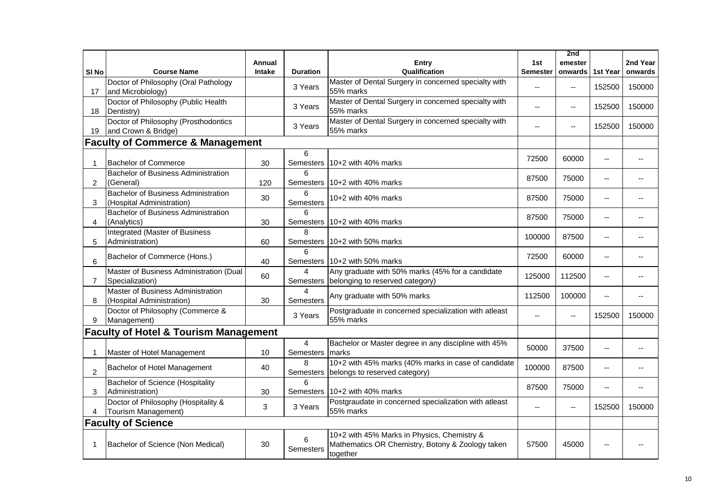|                  |                                                                         | Annual        |                             | <b>Entry</b>                                                                                                | 1st             | 2nd<br>emester           |                          | 2nd Year |
|------------------|-------------------------------------------------------------------------|---------------|-----------------------------|-------------------------------------------------------------------------------------------------------------|-----------------|--------------------------|--------------------------|----------|
| SI <sub>No</sub> | <b>Course Name</b>                                                      | <b>Intake</b> | <b>Duration</b>             | Qualification                                                                                               | <b>Semester</b> | onwards 1st Year         |                          | onwards  |
| 17               | Doctor of Philosophy (Oral Pathology<br>and Microbiology)               |               | 3 Years                     | Master of Dental Surgery in concerned specialty with<br>55% marks                                           | $-$             | $\overline{\phantom{a}}$ | 152500                   | 150000   |
| 18               | Doctor of Philosophy (Public Health<br>Dentistry)                       |               | 3 Years                     | Master of Dental Surgery in concerned specialty with<br>55% marks                                           | $-$             | $\overline{\phantom{a}}$ | 152500                   | 150000   |
| 19               | Doctor of Philosophy (Prosthodontics<br>and Crown & Bridge)             |               | 3 Years                     | Master of Dental Surgery in concerned specialty with<br>55% marks                                           | $\overline{a}$  | $\overline{\phantom{a}}$ | 152500                   | 150000   |
|                  | <b>Faculty of Commerce &amp; Management</b>                             |               |                             |                                                                                                             |                 |                          |                          |          |
| $\mathbf{1}$     | <b>Bachelor of Commerce</b>                                             | 30            | 6                           | Semesters   10+2 with 40% marks                                                                             | 72500           | 60000                    | --                       |          |
| $\overline{2}$   | <b>Bachelor of Business Administration</b><br>(General)                 | 120           | 6                           | Semesters 10+2 with 40% marks                                                                               | 87500           | 75000                    | $\overline{a}$           |          |
| 3                | <b>Bachelor of Business Administration</b><br>(Hospital Administration) | 30            | 6<br>Semesters              | $10+2$ with 40% marks                                                                                       | 87500           | 75000                    | $\overline{a}$           |          |
| 4                | <b>Bachelor of Business Administration</b><br>(Analytics)               | 30            | 6                           | Semesters   10+2 with 40% marks                                                                             | 87500           | 75000                    | --                       | $-$      |
| 5                | Integrated (Master of Business<br>Administration)                       | 60            | 8                           | Semesters   10+2 with 50% marks                                                                             | 100000          | 87500                    | --                       |          |
| 6                | Bachelor of Commerce (Hons.)                                            | 40            | 6                           | Semesters 10+2 with 50% marks                                                                               | 72500           | 60000                    | --                       |          |
| 7                | Master of Business Administration (Dual<br>Specialization)              | 60            | 4                           | Any graduate with 50% marks (45% for a candidate<br>Semesters belonging to reserved category)               | 125000          | 112500                   | $\overline{a}$           |          |
| 8                | Master of Business Administration<br>(Hospital Administration)          | 30            | $\overline{4}$<br>Semesters | Any graduate with 50% marks                                                                                 | 112500          | 100000                   | $\overline{\phantom{a}}$ |          |
| 9                | Doctor of Philosophy (Commerce &<br>Management)                         |               | 3 Years                     | Postgraduate in concerned specialization with atleast<br>55% marks                                          | $-$             | $\mathbf{u}$             | 152500                   | 150000   |
|                  | <b>Faculty of Hotel &amp; Tourism Management</b>                        |               |                             |                                                                                                             |                 |                          |                          |          |
| $\mathbf 1$      | Master of Hotel Management                                              | 10            | $\overline{4}$<br>Semesters | Bachelor or Master degree in any discipline with 45%<br>Imarks                                              | 50000           | 37500                    | --                       |          |
| $\overline{c}$   | Bachelor of Hotel Management                                            | 40            | 8                           | 10+2 with 45% marks (40% marks in case of candidate<br>Semesters belongs to reserved category)              | 100000          | 87500                    | --                       |          |
| 3                | Bachelor of Science (Hospitality<br>Administration)                     | 30            | 6                           | Semesters 10+2 with 40% marks                                                                               | 87500           | 75000                    | $\overline{a}$           |          |
|                  | Doctor of Philosophy (Hospitality &<br>Tourism Management)              | 3             | 3 Years                     | Postgraudate in concerned specialization with atleast<br>55% marks                                          | $\sim$          | $\overline{\phantom{a}}$ | 152500                   | 150000   |
|                  | <b>Faculty of Science</b>                                               |               |                             |                                                                                                             |                 |                          |                          |          |
| -1               | Bachelor of Science (Non Medical)                                       | 30            | 6<br>Semesters              | 10+2 with 45% Marks in Physics, Chemistry &<br>Mathematics OR Chemistry, Botony & Zoology taken<br>together | 57500           | 45000                    |                          |          |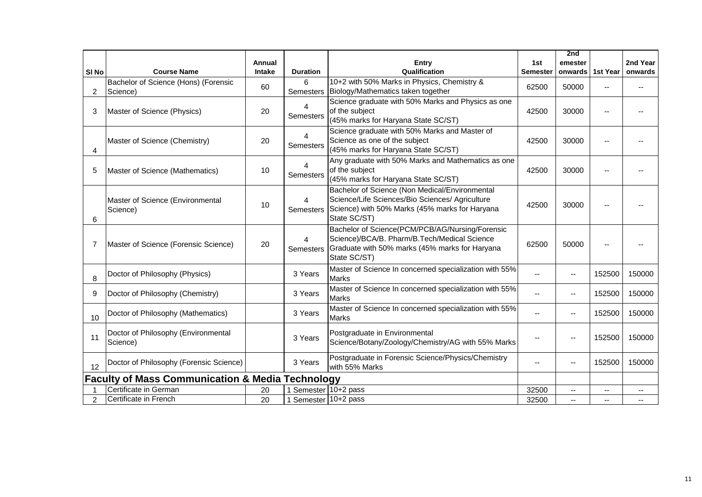|                  |                                                             |               |                      |                                                                                                                                                                     |          | 2nd            |          |          |  |  |
|------------------|-------------------------------------------------------------|---------------|----------------------|---------------------------------------------------------------------------------------------------------------------------------------------------------------------|----------|----------------|----------|----------|--|--|
|                  |                                                             | Annual        |                      | Entry                                                                                                                                                               | 1st      | emester        |          | 2nd Year |  |  |
| SI <sub>No</sub> | <b>Course Name</b>                                          | <b>Intake</b> | <b>Duration</b>      | Qualification                                                                                                                                                       | Semester | onwards        | 1st Year | onwards  |  |  |
| $\overline{2}$   | Bachelor of Science (Hons) (Forensic<br>Science)            | 60            | 6                    | 10+2 with 50% Marks in Physics, Chemistry &<br>Semesters   Biology/Mathematics taken together                                                                       | 62500    | 50000          |          |          |  |  |
| 3                | Master of Science (Physics)                                 | 20            | 4<br>Semesters       | Science graduate with 50% Marks and Physics as one<br>of the subject<br>(45% marks for Haryana State SC/ST)                                                         | 42500    | 30000          |          |          |  |  |
| 4                | Master of Science (Chemistry)                               | 20            | 4<br>Semesters       | Science graduate with 50% Marks and Master of<br>Science as one of the subject<br>(45% marks for Haryana State SC/ST)                                               | 42500    | 30000          |          |          |  |  |
| 5                | Master of Science (Mathematics)                             | 10            | 4<br>Semesters       | Any graduate with 50% Marks and Mathematics as one<br>of the subject<br>(45% marks for Haryana State SC/ST)                                                         | 42500    | 30000          |          |          |  |  |
| 6                | Master of Science (Environmental<br>Science)                | 10            | 4<br>Semesters       | Bachelor of Science (Non Medical/Environmental<br>Science/Life Sciences/Bio Sciences/ Agriculture<br>Science) with 50% Marks (45% marks for Haryana<br>State SC/ST) | 42500    | 30000          |          |          |  |  |
| 7                | Master of Science (Forensic Science)                        | 20            | 4<br>Semesters       | Bachelor of Science(PCM/PCB/AG/Nursing/Forensic<br>Science)/BCA/B. Pharm/B.Tech/Medical Science<br>Graduate with 50% marks (45% marks for Haryana<br>State SC/ST)   | 62500    | 50000          |          |          |  |  |
| 8                | Doctor of Philosophy (Physics)                              |               | 3 Years              | Master of Science In concerned specialization with 55%<br><b>Marks</b>                                                                                              |          | $-$            | 152500   | 150000   |  |  |
| 9                | Doctor of Philosophy (Chemistry)                            |               | 3 Years              | Master of Science In concerned specialization with 55%<br><b>Marks</b>                                                                                              |          | $\overline{a}$ | 152500   | 150000   |  |  |
| 10               | Doctor of Philosophy (Mathematics)                          |               | 3 Years              | Master of Science In concerned specialization with 55%<br><b>Marks</b>                                                                                              |          | $\overline{a}$ | 152500   | 150000   |  |  |
| 11               | Doctor of Philosophy (Environmental<br>Science)             |               | 3 Years              | Postgraduate in Environmental<br>Science/Botany/Zoology/Chemistry/AG with 55% Marks                                                                                 |          |                | 152500   | 150000   |  |  |
| 12               | Doctor of Philosophy (Forensic Science)                     |               | 3 Years              | Postgraduate in Forensic Science/Physics/Chemistry<br>with 55% Marks                                                                                                |          | $-$            | 152500   | 150000   |  |  |
|                  | <b>Faculty of Mass Communication &amp; Media Technology</b> |               |                      |                                                                                                                                                                     |          |                |          |          |  |  |
|                  | Certificate in German                                       | 20            | 1 Semester 10+2 pass |                                                                                                                                                                     | 32500    | $-$            |          |          |  |  |
| 2                | Certificate in French                                       | 20            | 1 Semester 10+2 pass |                                                                                                                                                                     | 32500    | $-$            | --       |          |  |  |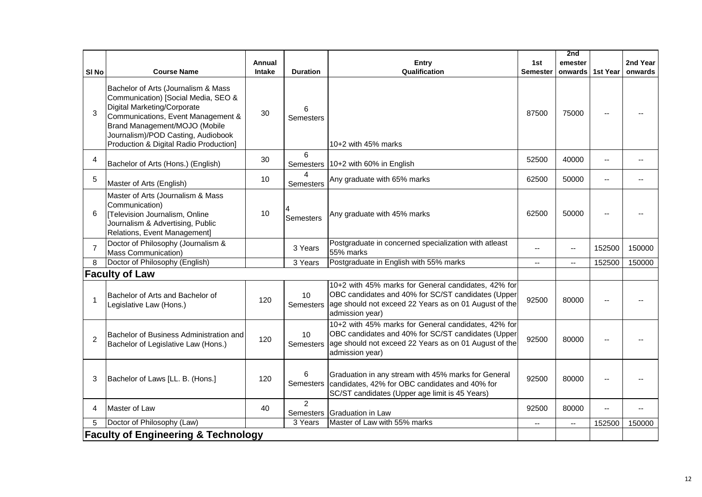|                                                |                                                                                                                                                                                                                                                                  |               |                  |                                                                                                                                                                                                 |                          | 2nd            |                |          |  |  |
|------------------------------------------------|------------------------------------------------------------------------------------------------------------------------------------------------------------------------------------------------------------------------------------------------------------------|---------------|------------------|-------------------------------------------------------------------------------------------------------------------------------------------------------------------------------------------------|--------------------------|----------------|----------------|----------|--|--|
|                                                |                                                                                                                                                                                                                                                                  | Annual        |                  | <b>Entry</b>                                                                                                                                                                                    | 1st                      | emester        |                | 2nd Year |  |  |
| SI <sub>No</sub>                               | <b>Course Name</b>                                                                                                                                                                                                                                               | <b>Intake</b> | <b>Duration</b>  | Qualification                                                                                                                                                                                   | <b>Semester</b>          | onwards        | 1st Year       | onwards  |  |  |
| 3                                              | Bachelor of Arts (Journalism & Mass<br>Communication) [Social Media, SEO &<br>Digital Marketing/Corporate<br>Communications, Event Management &<br>Brand Management/MOJO (Mobile<br>Journalism)/POD Casting, Audiobook<br>Production & Digital Radio Production] | 30            | 6<br>Semesters   | $10+2$ with 45% marks                                                                                                                                                                           | 87500                    | 75000          |                |          |  |  |
| 4                                              | Bachelor of Arts (Hons.) (English)                                                                                                                                                                                                                               | 30            | 6                | Semesters   10+2 with 60% in English                                                                                                                                                            | 52500                    | 40000          | $\overline{a}$ |          |  |  |
| 5                                              | Master of Arts (English)                                                                                                                                                                                                                                         | 10            | 4<br>Semesters   | Any graduate with 65% marks                                                                                                                                                                     | 62500                    | 50000          | $\overline{a}$ |          |  |  |
| 6                                              | Master of Arts (Journalism & Mass<br>Communication)<br>[Television Journalism, Online<br>Journalism & Advertising, Public<br>Relations, Event Management]                                                                                                        | 10            | <b>Semesters</b> | Any graduate with 45% marks                                                                                                                                                                     | 62500                    | 50000          |                |          |  |  |
| $\overline{7}$                                 | Doctor of Philosophy (Journalism &<br>Mass Communication)                                                                                                                                                                                                        |               | 3 Years          | Postgraduate in concerned specialization with atleast<br>55% marks                                                                                                                              |                          | --             | 152500         | 150000   |  |  |
| 8                                              | Doctor of Philosophy (English)                                                                                                                                                                                                                                   |               | 3 Years          | Postgraduate in English with 55% marks                                                                                                                                                          | $- -$                    | $\overline{a}$ | 152500         | 150000   |  |  |
|                                                | <b>Faculty of Law</b>                                                                                                                                                                                                                                            |               |                  |                                                                                                                                                                                                 |                          |                |                |          |  |  |
| $\overline{1}$                                 | Bachelor of Arts and Bachelor of<br>Legislative Law (Hons.)                                                                                                                                                                                                      | 120           | 10               | 10+2 with 45% marks for General candidates, 42% for<br>OBC candidates and 40% for SC/ST candidates (Upper<br>Semesters age should not exceed 22 Years as on 01 August of the<br>admission year) | 92500                    | 80000          |                |          |  |  |
| $\overline{2}$                                 | Bachelor of Business Administration and<br>Bachelor of Legislative Law (Hons.)                                                                                                                                                                                   | 120           | 10<br>Semesters  | 10+2 with 45% marks for General candidates, 42% for<br>OBC candidates and 40% for SC/ST candidates (Upper<br>age should not exceed 22 Years as on 01 August of the<br>admission year)           | 92500                    | 80000          |                |          |  |  |
| 3                                              | Bachelor of Laws [LL. B. (Hons.]                                                                                                                                                                                                                                 | 120           | 6                | Graduation in any stream with 45% marks for General<br>Semesters candidates, 42% for OBC candidates and 40% for<br>SC/ST candidates (Upper age limit is 45 Years)                               | 92500                    | 80000          |                |          |  |  |
| 4                                              | Master of Law                                                                                                                                                                                                                                                    | 40            | $\overline{2}$   | Semesters Graduation in Law                                                                                                                                                                     | 92500                    | 80000          | $\overline{a}$ |          |  |  |
| 5                                              | Doctor of Philosophy (Law)                                                                                                                                                                                                                                       |               | 3 Years          | Master of Law with 55% marks                                                                                                                                                                    | $\overline{\phantom{a}}$ | $\mathbf{L}$   | 152500         | 150000   |  |  |
| <b>Faculty of Engineering &amp; Technology</b> |                                                                                                                                                                                                                                                                  |               |                  |                                                                                                                                                                                                 |                          |                |                |          |  |  |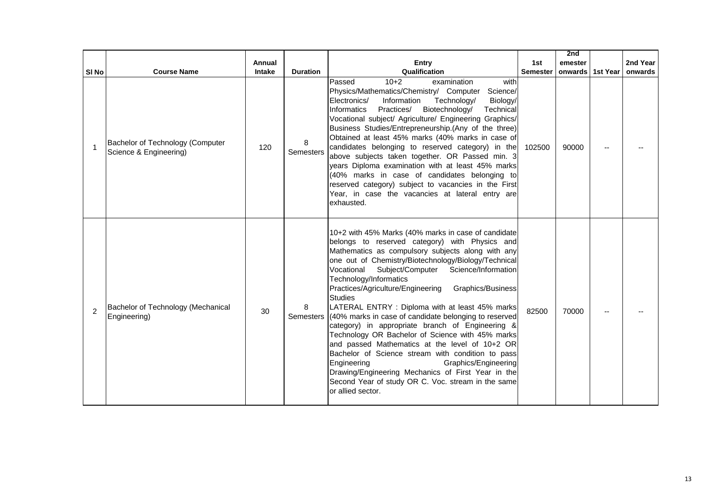|                  |                                                            |        |                       |                                                                                                                                                                                                                                                                                                                                                                                                                                                                                                                                                                                                                                                                                                                                                                                                                                                                                      |                 | 2nd              |          |
|------------------|------------------------------------------------------------|--------|-----------------------|--------------------------------------------------------------------------------------------------------------------------------------------------------------------------------------------------------------------------------------------------------------------------------------------------------------------------------------------------------------------------------------------------------------------------------------------------------------------------------------------------------------------------------------------------------------------------------------------------------------------------------------------------------------------------------------------------------------------------------------------------------------------------------------------------------------------------------------------------------------------------------------|-----------------|------------------|----------|
|                  |                                                            | Annual |                       | <b>Entry</b>                                                                                                                                                                                                                                                                                                                                                                                                                                                                                                                                                                                                                                                                                                                                                                                                                                                                         | 1st             | emester          | 2nd Year |
| SI <sub>No</sub> | <b>Course Name</b>                                         | Intake | <b>Duration</b>       | Qualification                                                                                                                                                                                                                                                                                                                                                                                                                                                                                                                                                                                                                                                                                                                                                                                                                                                                        | <b>Semester</b> | onwards 1st Year | onwards  |
| -1               | Bachelor of Technology (Computer<br>Science & Engineering) | 120    | 8<br>Semesters        | $10+2$<br>Passed<br>examination<br>with<br>Physics/Mathematics/Chemistry/ Computer<br>Science/<br>Electronics/<br>Information<br>Technology/<br>Biology/<br>Informatics<br>Practices/ Biotechnology/<br>Technical<br>Vocational subject/ Agriculture/ Engineering Graphics/<br>Business Studies/Entrepreneurship.(Any of the three)<br>Obtained at least 45% marks (40% marks in case of<br>candidates belonging to reserved category) in the<br>above subjects taken together. OR Passed min. 3<br>years Diploma examination with at least 45% marks<br>(40% marks in case of candidates belonging to<br>reserved category) subject to vacancies in the First<br>Year, in case the vacancies at lateral entry are<br>exhausted.                                                                                                                                                     | 102500          | 90000            |          |
| 2                | Bachelor of Technology (Mechanical<br>Engineering)         | 30     | 8<br><b>Semesters</b> | 10+2 with 45% Marks (40% marks in case of candidate<br>belongs to reserved category) with Physics and<br>Mathematics as compulsory subjects along with any<br>one out of Chemistry/Biotechnology/Biology/Technical<br>Vocational<br>Subject/Computer<br>Science/Information<br>Technology/Informatics<br>Practices/Agriculture/Engineering<br>Graphics/Business<br><b>Studies</b><br>LATERAL ENTRY : Diploma with at least 45% marks<br>(40% marks in case of candidate belonging to reserved<br>category) in appropriate branch of Engineering &<br>Technology OR Bachelor of Science with 45% marks<br>and passed Mathematics at the level of 10+2 OR<br>Bachelor of Science stream with condition to pass<br>Engineering<br>Graphics/Engineering<br>Drawing/Engineering Mechanics of First Year in the<br>Second Year of study OR C. Voc. stream in the same<br>or allied sector. | 82500           | 70000            |          |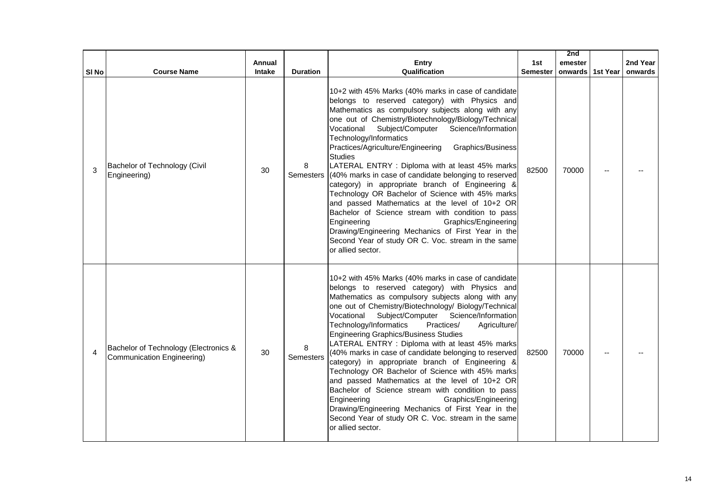|                  |                                                                     |        |                 |                                                                                                                                                                                                                                                                                                                                                                                                                                                                                                                                                                                                                                                                                                                                                                                                                                                                                       |                 | 2nd                |          |
|------------------|---------------------------------------------------------------------|--------|-----------------|---------------------------------------------------------------------------------------------------------------------------------------------------------------------------------------------------------------------------------------------------------------------------------------------------------------------------------------------------------------------------------------------------------------------------------------------------------------------------------------------------------------------------------------------------------------------------------------------------------------------------------------------------------------------------------------------------------------------------------------------------------------------------------------------------------------------------------------------------------------------------------------|-----------------|--------------------|----------|
|                  |                                                                     | Annual |                 | Entry                                                                                                                                                                                                                                                                                                                                                                                                                                                                                                                                                                                                                                                                                                                                                                                                                                                                                 | 1st             | emester            | 2nd Year |
| SI <sub>No</sub> | <b>Course Name</b>                                                  | Intake | <b>Duration</b> | Qualification                                                                                                                                                                                                                                                                                                                                                                                                                                                                                                                                                                                                                                                                                                                                                                                                                                                                         | <b>Semester</b> | onwards   1st Year | onwards  |
| 3                | Bachelor of Technology (Civil<br>Engineering)                       | 30     | 8<br>Semesters  | 10+2 with 45% Marks (40% marks in case of candidate<br>belongs to reserved category) with Physics and<br>Mathematics as compulsory subjects along with any<br>one out of Chemistry/Biotechnology/Biology/Technical<br>Subject/Computer<br>Science/Information<br>Vocational<br>Technology/Informatics<br>Practices/Agriculture/Engineering<br>Graphics/Business<br><b>Studies</b><br>LATERAL ENTRY : Diploma with at least 45% marks<br>(40% marks in case of candidate belonging to reserved<br>category) in appropriate branch of Engineering &<br>Technology OR Bachelor of Science with 45% marks<br>and passed Mathematics at the level of 10+2 OR<br>Bachelor of Science stream with condition to pass<br>Engineering<br>Graphics/Engineering<br>Drawing/Engineering Mechanics of First Year in the<br>Second Year of study OR C. Voc. stream in the same<br>or allied sector.  | 82500           | 70000              |          |
| $\overline{4}$   | Bachelor of Technology (Electronics &<br>Communication Engineering) | 30     | 8<br>Semesters  | 10+2 with 45% Marks (40% marks in case of candidate<br>belongs to reserved category) with Physics and<br>Mathematics as compulsory subjects along with any<br>one out of Chemistry/Biotechnology/ Biology/Technical<br>Vocational<br>Subject/Computer Science/Information<br>Technology/Informatics<br>Practices/<br>Agriculture/<br><b>Engineering Graphics/Business Studies</b><br>LATERAL ENTRY : Diploma with at least 45% marks<br>(40% marks in case of candidate belonging to reserved)<br>category) in appropriate branch of Engineering &<br>Technology OR Bachelor of Science with 45% marks<br>and passed Mathematics at the level of 10+2 OR<br>Bachelor of Science stream with condition to pass<br>Engineering<br>Graphics/Engineering<br>Drawing/Engineering Mechanics of First Year in the<br>Second Year of study OR C. Voc. stream in the same<br>or allied sector. | 82500           | 70000              |          |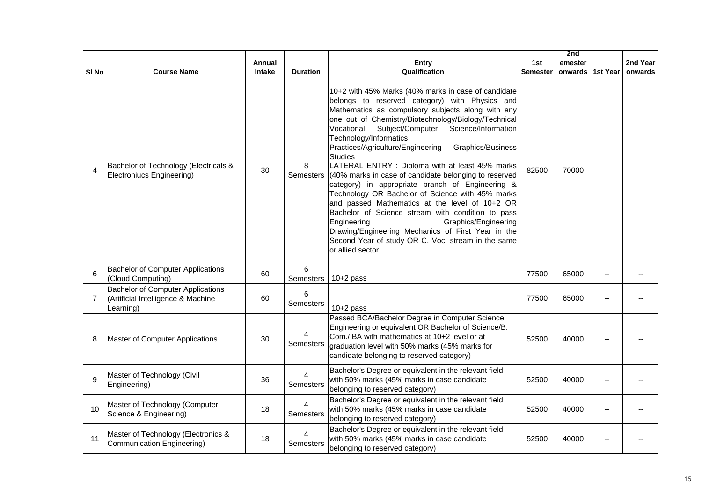|       |                                                                                      |        |                             |                                                                                                                                                                                                                                                                                                                                                                                                                                                                                                                                                                                                                                                                                                                                                                                                                                                                                      |                 | 2nd     |          |          |
|-------|--------------------------------------------------------------------------------------|--------|-----------------------------|--------------------------------------------------------------------------------------------------------------------------------------------------------------------------------------------------------------------------------------------------------------------------------------------------------------------------------------------------------------------------------------------------------------------------------------------------------------------------------------------------------------------------------------------------------------------------------------------------------------------------------------------------------------------------------------------------------------------------------------------------------------------------------------------------------------------------------------------------------------------------------------|-----------------|---------|----------|----------|
|       |                                                                                      | Annual |                             | <b>Entry</b>                                                                                                                                                                                                                                                                                                                                                                                                                                                                                                                                                                                                                                                                                                                                                                                                                                                                         | 1st             | emester |          | 2nd Year |
| SI No | <b>Course Name</b>                                                                   | Intake | <b>Duration</b>             | Qualification                                                                                                                                                                                                                                                                                                                                                                                                                                                                                                                                                                                                                                                                                                                                                                                                                                                                        | <b>Semester</b> | onwards | 1st Year | onwards  |
| 4     | Bachelor of Technology (Electricals &<br>Electroniucs Engineering)                   | 30     | 8<br><b>Semesters</b>       | 10+2 with 45% Marks (40% marks in case of candidate<br>belongs to reserved category) with Physics and<br>Mathematics as compulsory subjects along with any<br>one out of Chemistry/Biotechnology/Biology/Technical<br>Subject/Computer<br>Science/Information<br>Vocational<br>Technology/Informatics<br>Practices/Agriculture/Engineering<br>Graphics/Business<br><b>Studies</b><br>LATERAL ENTRY : Diploma with at least 45% marks<br>(40% marks in case of candidate belonging to reserved<br>category) in appropriate branch of Engineering &<br>Technology OR Bachelor of Science with 45% marks<br>and passed Mathematics at the level of 10+2 OR<br>Bachelor of Science stream with condition to pass<br>Engineering<br>Graphics/Engineering<br>Drawing/Engineering Mechanics of First Year in the<br>Second Year of study OR C. Voc. stream in the same<br>or allied sector. | 82500           | 70000   |          |          |
| 6     | <b>Bachelor of Computer Applications</b><br>(Cloud Computing)                        | 60     | 6<br>Semesters              | $10+2$ pass                                                                                                                                                                                                                                                                                                                                                                                                                                                                                                                                                                                                                                                                                                                                                                                                                                                                          | 77500           | 65000   |          |          |
| 7     | Bachelor of Computer Applications<br>(Artificial Intelligence & Machine<br>Learning) | 60     | 6<br>Semesters              | $10+2$ pass                                                                                                                                                                                                                                                                                                                                                                                                                                                                                                                                                                                                                                                                                                                                                                                                                                                                          | 77500           | 65000   |          |          |
| 8     | Master of Computer Applications                                                      | 30     | 4<br>Semesters              | Passed BCA/Bachelor Degree in Computer Science<br>Engineering or equivalent OR Bachelor of Science/B.<br>Com./ BA with mathematics at 10+2 level or at<br>graduation level with 50% marks (45% marks for<br>candidate belonging to reserved category)                                                                                                                                                                                                                                                                                                                                                                                                                                                                                                                                                                                                                                | 52500           | 40000   |          |          |
| 9     | Master of Technology (Civil<br>Engineering)                                          | 36     | $\overline{4}$<br>Semesters | Bachelor's Degree or equivalent in the relevant field<br>with 50% marks (45% marks in case candidate<br>belonging to reserved category)                                                                                                                                                                                                                                                                                                                                                                                                                                                                                                                                                                                                                                                                                                                                              | 52500           | 40000   |          |          |
| 10    | Master of Technology (Computer<br>Science & Engineering)                             | 18     | 4<br>Semesters              | Bachelor's Degree or equivalent in the relevant field<br>with 50% marks (45% marks in case candidate<br>belonging to reserved category)                                                                                                                                                                                                                                                                                                                                                                                                                                                                                                                                                                                                                                                                                                                                              | 52500           | 40000   |          |          |
| 11    | Master of Technology (Electronics &<br>Communication Engineering)                    | 18     | 4<br>Semesters              | Bachelor's Degree or equivalent in the relevant field<br>with 50% marks (45% marks in case candidate<br>belonging to reserved category)                                                                                                                                                                                                                                                                                                                                                                                                                                                                                                                                                                                                                                                                                                                                              | 52500           | 40000   |          |          |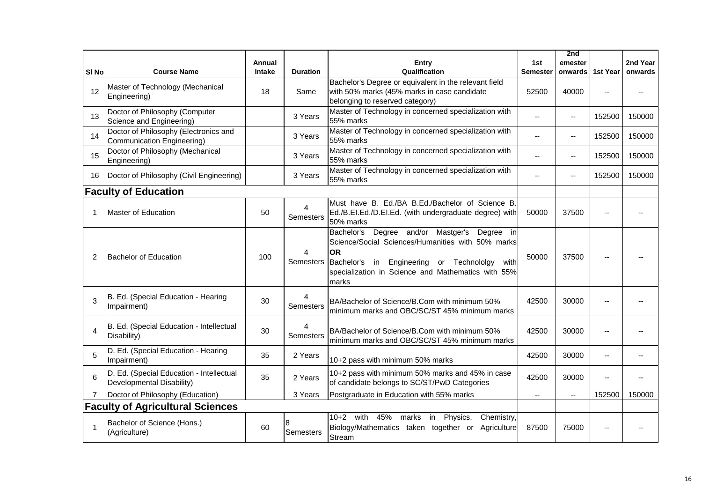|                  |                                                                       |        |                 |                                                                                                                                                                                                                                         |                          | 2nd                                           |          |          |
|------------------|-----------------------------------------------------------------------|--------|-----------------|-----------------------------------------------------------------------------------------------------------------------------------------------------------------------------------------------------------------------------------------|--------------------------|-----------------------------------------------|----------|----------|
|                  |                                                                       | Annual |                 | Entry                                                                                                                                                                                                                                   | 1st                      | emester                                       |          | 2nd Year |
| SI <sub>No</sub> | <b>Course Name</b>                                                    | Intake | <b>Duration</b> | Qualification                                                                                                                                                                                                                           | <b>Semester</b>          | onwards                                       | 1st Year | onwards  |
| 12               | Master of Technology (Mechanical<br>Engineering)                      | 18     | Same            | Bachelor's Degree or equivalent in the relevant field<br>with 50% marks (45% marks in case candidate<br>belonging to reserved category)                                                                                                 | 52500                    | 40000                                         |          |          |
| 13               | Doctor of Philosophy (Computer<br>Science and Engineering)            |        | 3 Years         | Master of Technology in concerned specialization with<br>55% marks                                                                                                                                                                      | $\overline{a}$           | --                                            | 152500   | 150000   |
| 14               | Doctor of Philosophy (Electronics and<br>Communication Engineering)   |        | 3 Years         | Master of Technology in concerned specialization with<br>55% marks                                                                                                                                                                      | $-$                      | $\overline{\phantom{m}}$                      | 152500   | 150000   |
| 15               | Doctor of Philosophy (Mechanical<br>Engineering)                      |        | 3 Years         | Master of Technology in concerned specialization with<br>55% marks                                                                                                                                                                      |                          | $\mathord{\hspace{1pt}\text{--}\hspace{1pt}}$ | 152500   | 150000   |
| 16               | Doctor of Philosophy (Civil Engineering)                              |        | 3 Years         | Master of Technology in concerned specialization with<br>55% marks                                                                                                                                                                      |                          | $\sim$ $\sim$                                 | 152500   | 150000   |
|                  | <b>Faculty of Education</b>                                           |        |                 |                                                                                                                                                                                                                                         |                          |                                               |          |          |
|                  | <b>Master of Education</b>                                            | 50     | 4<br>Semesters  | Must have B. Ed./BA B.Ed./Bachelor of Science B.<br>Ed./B.EI.Ed./D.EI.Ed. (with undergraduate degree) with<br>50% marks                                                                                                                 | 50000                    | 37500                                         |          |          |
|                  | <b>Bachelor of Education</b>                                          | 100    | 4<br>Semesters  | Degree and/or Mastger's<br>Bachelor's<br>Degree in<br>Science/Social Sciences/Humanities with 50% marks<br><b>OR</b><br>Bachelor's in Engineering or Technololgy<br>with<br>specialization in Science and Mathematics with 55%<br>marks | 50000                    | 37500                                         |          |          |
| 3                | B. Ed. (Special Education - Hearing<br>Impairment)                    | 30     | 4<br>Semesters  | BA/Bachelor of Science/B.Com with minimum 50%<br>minimum marks and OBC/SC/ST 45% minimum marks                                                                                                                                          | 42500                    | 30000                                         |          |          |
| 4                | B. Ed. (Special Education - Intellectual<br>Disability)               | 30     | 4<br>Semesters  | BA/Bachelor of Science/B.Com with minimum 50%<br>minimum marks and OBC/SC/ST 45% minimum marks                                                                                                                                          | 42500                    | 30000                                         |          |          |
| 5                | D. Ed. (Special Education - Hearing<br>Impairment)                    | 35     | 2 Years         | 10+2 pass with minimum 50% marks                                                                                                                                                                                                        | 42500                    | 30000                                         |          |          |
| 6                | D. Ed. (Special Education - Intellectual<br>Developmental Disability) | 35     | 2 Years         | 10+2 pass with minimum 50% marks and 45% in case<br>of candidate belongs to SC/ST/PwD Categories                                                                                                                                        | 42500                    | 30000                                         | --       |          |
|                  | Doctor of Philosophy (Education)                                      |        | 3 Years         | Postgraduate in Education with 55% marks                                                                                                                                                                                                | $\overline{\phantom{a}}$ | $\overline{\phantom{a}}$                      | 152500   | 150000   |
|                  | <b>Faculty of Agricultural Sciences</b>                               |        |                 |                                                                                                                                                                                                                                         |                          |                                               |          |          |
|                  | Bachelor of Science (Hons.)<br>(Agriculture)                          | 60     | 8<br>Semesters  | $10+2$ with<br>45% marks in Physics,<br>Chemistry,<br>Biology/Mathematics taken together or Agriculture<br>Stream                                                                                                                       | 87500                    | 75000                                         |          |          |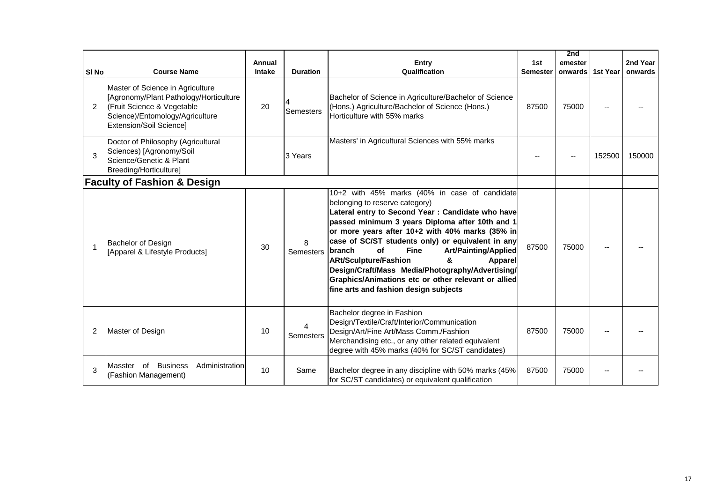|                                        |                                                                                                                                                                        |        |                 |                                                                                                                                                                                                                                                                                                                                                                                                                                                                                                                                                                                 |                 | 2nd     |          |          |
|----------------------------------------|------------------------------------------------------------------------------------------------------------------------------------------------------------------------|--------|-----------------|---------------------------------------------------------------------------------------------------------------------------------------------------------------------------------------------------------------------------------------------------------------------------------------------------------------------------------------------------------------------------------------------------------------------------------------------------------------------------------------------------------------------------------------------------------------------------------|-----------------|---------|----------|----------|
|                                        |                                                                                                                                                                        | Annual |                 | <b>Entry</b>                                                                                                                                                                                                                                                                                                                                                                                                                                                                                                                                                                    | 1st             | emester |          | 2nd Year |
| SI <sub>No</sub>                       | <b>Course Name</b>                                                                                                                                                     | Intake | <b>Duration</b> | Qualification                                                                                                                                                                                                                                                                                                                                                                                                                                                                                                                                                                   | <b>Semester</b> | onwards | 1st Year | onwards  |
| $\overline{2}$                         | Master of Science in Agriculture<br>[Agronomy/Plant Pathology/Horticulture<br>(Fruit Science & Vegetable<br>Science)/Entomology/Agriculture<br>Extension/Soil Science] | 20     | Semesters       | Bachelor of Science in Agriculture/Bachelor of Science<br>(Hons.) Agriculture/Bachelor of Science (Hons.)<br>Horticulture with 55% marks                                                                                                                                                                                                                                                                                                                                                                                                                                        | 87500           | 75000   |          |          |
| 3                                      | Doctor of Philosophy (Agricultural<br>Sciences) [Agronomy/Soil<br>Science/Genetic & Plant<br>Breeding/Horticulture]                                                    |        | 3 Years         | Masters' in Agricultural Sciences with 55% marks                                                                                                                                                                                                                                                                                                                                                                                                                                                                                                                                |                 |         | 152500   | 150000   |
| <b>Faculty of Fashion &amp; Design</b> |                                                                                                                                                                        |        |                 |                                                                                                                                                                                                                                                                                                                                                                                                                                                                                                                                                                                 |                 |         |          |          |
| 1                                      | Bachelor of Design<br>[Apparel & Lifestyle Products]                                                                                                                   | 30     | 8<br>Semesters  | 10+2 with 45% marks (40% in case of candidate<br>belonging to reserve category)<br>Lateral entry to Second Year : Candidate who have<br>passed minimum 3 years Diploma after 10th and 1<br>or more years after 10+2 with 40% marks (35% in<br>case of SC/ST students only) or equivalent in any<br><b>Art/Painting/Applied</b><br>branch<br><b>of</b><br><b>Fine</b><br><b>ARt/Sculpture/Fashion</b><br>&<br><b>Apparel</b><br>Design/Craft/Mass Media/Photography/Advertising/<br>Graphics/Animations etc or other relevant or allied<br>fine arts and fashion design subjects | 87500           | 75000   |          |          |
|                                        | Master of Design                                                                                                                                                       | 10     | Semesters       | Bachelor degree in Fashion<br>Design/Textile/Craft/Interior/Communication<br>Design/Art/Fine Art/Mass Comm./Fashion<br>Merchandising etc., or any other related equivalent<br>degree with 45% marks (40% for SC/ST candidates)                                                                                                                                                                                                                                                                                                                                                  | 87500           | 75000   |          |          |
| 3                                      | <b>Business</b><br>Administration<br>Masster of<br>(Fashion Management)                                                                                                | 10     | Same            | Bachelor degree in any discipline with 50% marks (45%<br>for SC/ST candidates) or equivalent qualification                                                                                                                                                                                                                                                                                                                                                                                                                                                                      | 87500           | 75000   |          |          |